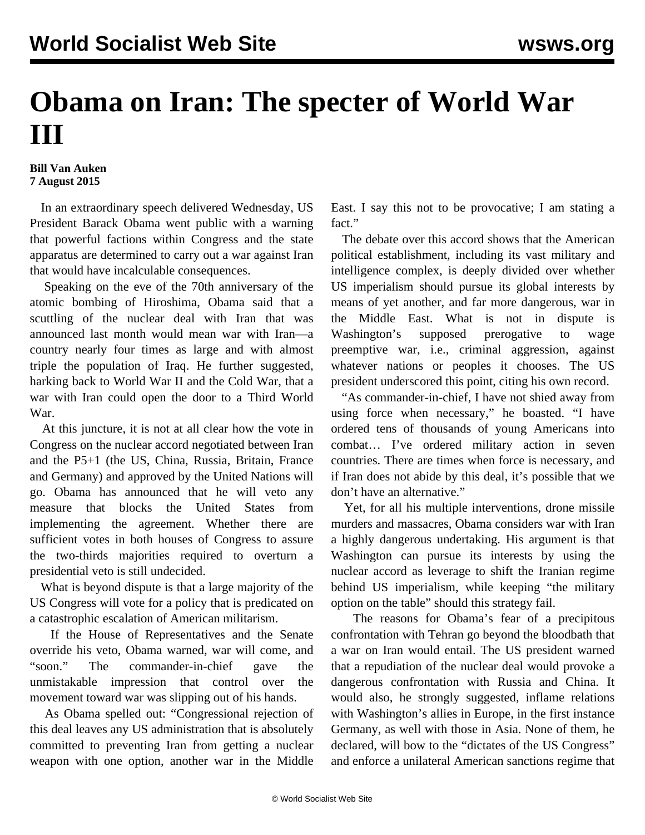## **Obama on Iran: The specter of World War III**

## **Bill Van Auken 7 August 2015**

 In an extraordinary speech delivered Wednesday, US President Barack Obama went public with a warning that powerful factions within Congress and the state apparatus are determined to carry out a war against Iran that would have incalculable consequences.

 Speaking on the eve of the 70th anniversary of the atomic bombing of Hiroshima, Obama said that a scuttling of the nuclear deal with Iran that was announced last month would mean war with Iran—a country nearly four times as large and with almost triple the population of Iraq. He further suggested, harking back to World War II and the Cold War, that a war with Iran could open the door to a Third World War.

 At this juncture, it is not at all clear how the vote in Congress on the nuclear accord negotiated between Iran and the P5+1 (the US, China, Russia, Britain, France and Germany) and approved by the United Nations will go. Obama has announced that he will veto any measure that blocks the United States from implementing the agreement. Whether there are sufficient votes in both houses of Congress to assure the two-thirds majorities required to overturn a presidential veto is still undecided.

 What is beyond dispute is that a large majority of the US Congress will vote for a policy that is predicated on a catastrophic escalation of American militarism.

 If the House of Representatives and the Senate override his veto, Obama warned, war will come, and "soon." The commander-in-chief gave the unmistakable impression that control over the movement toward war was slipping out of his hands.

 As Obama spelled out: "Congressional rejection of this deal leaves any US administration that is absolutely committed to preventing Iran from getting a nuclear weapon with one option, another war in the Middle East. I say this not to be provocative; I am stating a fact."

 The debate over this accord shows that the American political establishment, including its vast military and intelligence complex, is deeply divided over whether US imperialism should pursue its global interests by means of yet another, and far more dangerous, war in the Middle East. What is not in dispute is Washington's supposed prerogative to wage preemptive war, i.e., criminal aggression, against whatever nations or peoples it chooses. The US president underscored this point, citing his own record.

 "As commander-in-chief, I have not shied away from using force when necessary," he boasted. "I have ordered tens of thousands of young Americans into combat… I've ordered military action in seven countries. There are times when force is necessary, and if Iran does not abide by this deal, it's possible that we don't have an alternative."

 Yet, for all his multiple interventions, drone missile murders and massacres, Obama considers war with Iran a highly dangerous undertaking. His argument is that Washington can pursue its interests by using the nuclear accord as leverage to shift the Iranian regime behind US imperialism, while keeping "the military option on the table" should this strategy fail.

 The reasons for Obama's fear of a precipitous confrontation with Tehran go beyond the bloodbath that a war on Iran would entail. The US president warned that a repudiation of the nuclear deal would provoke a dangerous confrontation with Russia and China. It would also, he strongly suggested, inflame relations with Washington's allies in Europe, in the first instance Germany, as well with those in Asia. None of them, he declared, will bow to the "dictates of the US Congress" and enforce a unilateral American sanctions regime that